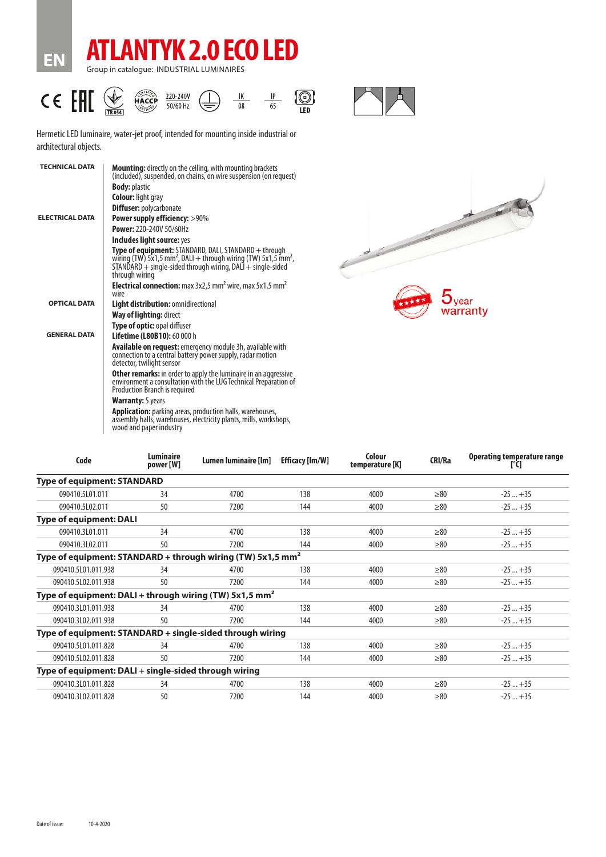

**EN**



Hermetic LED luminaire, water-jet proof, intended for mounting inside industrial or architectural objects.

| <b>TECHNICAL DATA</b>  | <b>Mounting:</b> directly on the ceiling, with mounting brackets<br>(included), suspended, on chains, on wire suspension (on request)                                                                                                   |  |  |  |  |  |
|------------------------|-----------------------------------------------------------------------------------------------------------------------------------------------------------------------------------------------------------------------------------------|--|--|--|--|--|
|                        | <b>Body: plastic</b>                                                                                                                                                                                                                    |  |  |  |  |  |
|                        | <b>Colour:</b> light gray                                                                                                                                                                                                               |  |  |  |  |  |
|                        | <b>Diffuser: polycarbonate</b>                                                                                                                                                                                                          |  |  |  |  |  |
| <b>ELECTRICAL DATA</b> | Power supply efficiency: >90%                                                                                                                                                                                                           |  |  |  |  |  |
|                        | Power: 220-240V 50/60Hz                                                                                                                                                                                                                 |  |  |  |  |  |
|                        | Includes light source: yes                                                                                                                                                                                                              |  |  |  |  |  |
|                        | <b>Type of equipment:</b> STANDARD, DALI, STANDARD + through<br>wiring (TW) 5x1,5 mm <sup>2</sup> , DALI + through wiring (TW) 5x1,5 mm <sup>2</sup> ,<br>STANDARD + single-sided through wiring, DALI + single-sided<br>through wiring |  |  |  |  |  |
|                        | Electrical connection: max 3x2,5 mm <sup>2</sup> wire, max 5x1,5 mm <sup>2</sup><br>wire                                                                                                                                                |  |  |  |  |  |
| <b>OPTICAL DATA</b>    | Light distribution: omnidirectional                                                                                                                                                                                                     |  |  |  |  |  |
|                        | <b>Way of lighting: direct</b>                                                                                                                                                                                                          |  |  |  |  |  |
|                        | Type of optic: opal diffuser                                                                                                                                                                                                            |  |  |  |  |  |
| <b>GENERAL DATA</b>    | Lifetime (L80B10): 60 000 h                                                                                                                                                                                                             |  |  |  |  |  |
|                        | <b>Available on request:</b> emergency module 3h, available with<br>connection to a central battery power supply, radar motion<br>detector, twilight sensor                                                                             |  |  |  |  |  |
|                        | <b>Other remarks:</b> in order to apply the luminaire in an aggressive<br>environment a consultation with the LUG Technical Preparation of<br><b>Production Branch is required</b>                                                      |  |  |  |  |  |
|                        | <b>Warranty:</b> 5 years                                                                                                                                                                                                                |  |  |  |  |  |
|                        | <b>Application:</b> parking areas, production halls, warehouses,<br>assembly halls, warehouses, electricity plants, mills, workshops,<br>wood and paper industry                                                                        |  |  |  |  |  |
|                        |                                                                                                                                                                                                                                         |  |  |  |  |  |



| Code                                                                    | <b>Luminaire</b><br>power [W] | Lumen luminaire [lm] | <b>Efficacy [Im/W]</b> | Colour<br>temperature [K] | <b>CRI/Ra</b> | Operating temperature range<br>[°C] |
|-------------------------------------------------------------------------|-------------------------------|----------------------|------------------------|---------------------------|---------------|-------------------------------------|
| <b>Type of equipment: STANDARD</b>                                      |                               |                      |                        |                           |               |                                     |
| 090410.5L01.011                                                         | 34                            | 4700                 | 138                    | 4000                      | $\geq 80$     | $-25+35$                            |
| 090410.5L02.011                                                         | 50                            | 7200                 | 144                    | 4000                      | $\geq 80$     | $-25+35$                            |
| <b>Type of equipment: DALI</b>                                          |                               |                      |                        |                           |               |                                     |
| 090410.3L01.011                                                         | 34                            | 4700                 | 138                    | 4000                      | $\geq 80$     | $-25+35$                            |
| 090410.3L02.011                                                         | 50                            | 7200                 | 144                    | 4000                      | $\geq 80$     | $-25+35$                            |
| Type of equipment: STANDARD + through wiring (TW) 5x1,5 mm <sup>2</sup> |                               |                      |                        |                           |               |                                     |
| 090410.5L01.011.938                                                     | 34                            | 4700                 | 138                    | 4000                      | >80           | $-25+35$                            |
| 090410.5L02.011.938                                                     | 50                            | 7200                 | 144                    | 4000                      | $\geq 80$     | $-25+35$                            |
| Type of equipment: DALI + through wiring (TW) 5x1,5 mm <sup>2</sup>     |                               |                      |                        |                           |               |                                     |
| 090410.3L01.011.938                                                     | 34                            | 4700                 | 138                    | 4000                      | $\geq 80$     | $-25+35$                            |
| 090410.3L02.011.938                                                     | 50                            | 7200                 | 144                    | 4000                      | $\geq 80$     | $-25+35$                            |
| Type of equipment: STANDARD + single-sided through wiring               |                               |                      |                        |                           |               |                                     |
| 090410.5L01.011.828                                                     | 34                            | 4700                 | 138                    | 4000                      | $\geq 80$     | $-25+35$                            |
| 090410.5L02.011.828                                                     | 50                            | 7200                 | 144                    | 4000                      | $\geq 80$     | $-25+35$                            |
| Type of equipment: DALI + single-sided through wiring                   |                               |                      |                        |                           |               |                                     |
| 090410.3L01.011.828                                                     | 34                            | 4700                 | 138                    | 4000                      | $\geq 80$     | $-25+35$                            |
| 090410.3L02.011.828                                                     | 50                            | 7200                 | 144                    | 4000                      | $\geq 80$     | $-25+35$                            |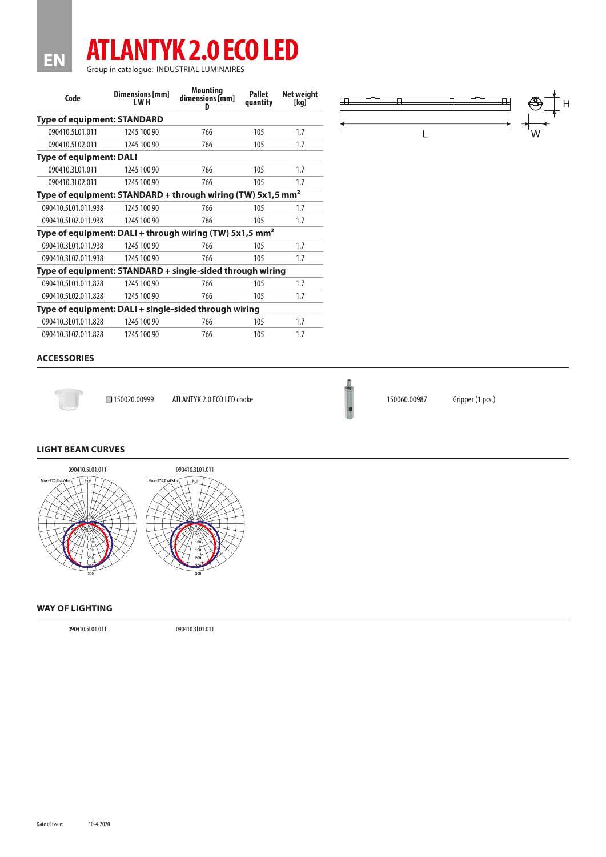## **ATLANTYK 2.0 ECO LED** Group in catalogue: INDUSTRIAL LUMINAIRES

| Code                                                                    | Dimensions [mm]<br>I W H | <b>Mounting</b><br>dimensions [mm]<br>D | Pallet<br>quantity | Net weight<br>[kg] |  |  |  |  |  |
|-------------------------------------------------------------------------|--------------------------|-----------------------------------------|--------------------|--------------------|--|--|--|--|--|
| <b>Type of equipment: STANDARD</b>                                      |                          |                                         |                    |                    |  |  |  |  |  |
| 090410.5L01.011                                                         | 1245 100 90              | 766                                     | 105                | 1.7                |  |  |  |  |  |
| 090410.5L02.011                                                         | 1245 100 90              | 766                                     | 105                | 1.7                |  |  |  |  |  |
| <b>Type of equipment: DALI</b>                                          |                          |                                         |                    |                    |  |  |  |  |  |
| 090410.3L01.011                                                         | 1245 100 90              | 766                                     | 105                | 1.7                |  |  |  |  |  |
| 090410.3L02.011                                                         | 1245 100 90              | 766                                     | 105                | 1.7                |  |  |  |  |  |
| Type of equipment: STANDARD + through wiring (TW) 5x1,5 mm <sup>2</sup> |                          |                                         |                    |                    |  |  |  |  |  |
| 090410.5101.011.938                                                     | 1245 100 90              | 766                                     | 105                | 1.7                |  |  |  |  |  |
| 090410.5L02.011.938                                                     | 1245 100 90              | 766                                     | 105                | 1.7                |  |  |  |  |  |
| Type of equipment: DALI + through wiring (TW) 5x1,5 mm <sup>2</sup>     |                          |                                         |                    |                    |  |  |  |  |  |
| 090410.3101.011.938                                                     | 1245 100 90              | 766                                     | 105                | 1.7                |  |  |  |  |  |
| 090410.3L02.011.938                                                     | 1245 100 90              | 766                                     | 105                | 1.7                |  |  |  |  |  |
| Type of equipment: STANDARD + single-sided through wiring               |                          |                                         |                    |                    |  |  |  |  |  |
| 090410.5101.011.828                                                     | 1245 100 90              | 766                                     | 105                | 1.7                |  |  |  |  |  |
| 090410.5L02.011.828                                                     | 1245 100 90              | 766                                     | 105                | 1.7                |  |  |  |  |  |
| Type of equipment: DALI + single-sided through wiring                   |                          |                                         |                    |                    |  |  |  |  |  |
| 090410.3L01.011.828                                                     | 1245 100 90              | 766                                     | 105                | 1.7                |  |  |  |  |  |
| 090410.3L02.011.828                                                     | 1245 100 90              | 766                                     | 105                | 1.7                |  |  |  |  |  |



## **ACCESSORIES**

**EN**



□150020.00999 ATLANTYK 2.0 ECO LED choke 150060.00987 Gripper (1 pcs.)



## **LIGHT BEAM CURVES**



## **WAY OF LIGHTING**

090410.5L01.011 090410.3L01.011